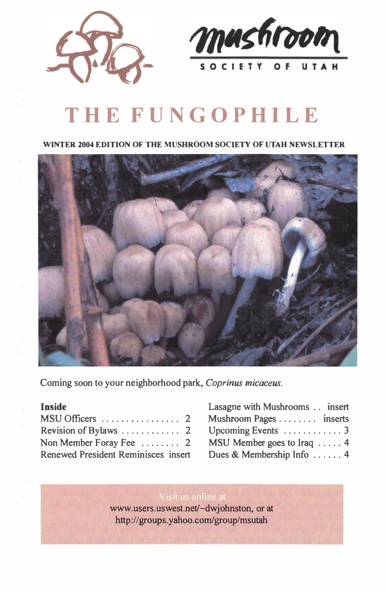



# **THE FUNGOPHILE**

**WINTER 2004 EDITION OF THE MUSHROOM SOCIETY OF UTAH NEWSLETTER** 



**Coming soon to your neighborhood park,** *Coprinus micaceus.* 

#### **Inside**

| Non Member Foray Fee  2             |  |
|-------------------------------------|--|
| Renewed President Reminisces insert |  |

| Lasagne with Mushrooms insert |
|-------------------------------|
| Mushroom Pages inserts        |
|                               |
| MSU Member goes to Iraq  4    |
| Dues & Membership Info 4      |

**www.users.uswest.net/-dwjohnston, or at http://groups.yahoo.com/group/msutah**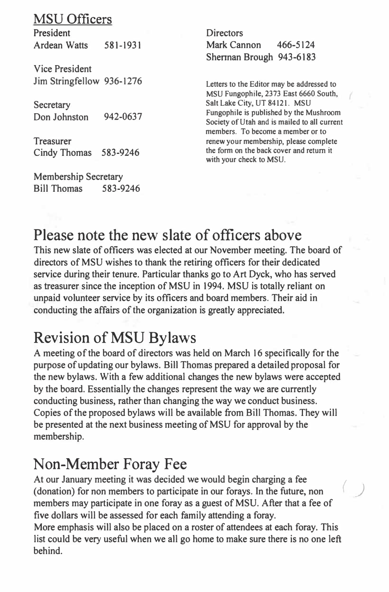### MSU Officers

President Ardean Watts 581-1931

Vice President Jim Stringfellow 936-1276

Secretary Don Johnston 942-0637

Treasurer Cindy Thomas 583-9246

Membership Secretary Bill Thomas 583-9246 **Directors** Mark Cannon 466-5124 Shennan Brough 943-6183

**Letters to the Editor may be addressed to MSU Fungophile, 2373 East 6660 South, Salt Lake City, UT 84121. MSU Fungophile is published by the Mushroom Society of Utah and is mailed to all current members. To become a member or to renew your membership, please complete the form on the back cover and return it with your check to MSU.** 

### Please note the new slate of officers above

This new slate of officers was elected at our November meeting. The board of directors of MSU wishes to thank the retiring officers for their dedicated service during their tenure. Particular thanks go to Art Dyck, who has served as treasurer since the inception of MSU in 1994. MSU is totally reliant on unpaid volunteer service by its officers and board members. Their aid in conducting the affairs of the organization is greatly appreciated.

### Revision ofMSU Bylaws

A meeting of the board of directors was held on March 16 specifically for the purpose of updating our bylaws. Bill Thomas prepared a detailed proposal for the new bylaws. With a few additional changes the new bylaws were accepted by the board. Essentially the changes represent the way we are currently conducting business, rather than changing the way we conduct business. Copies of the proposed bylaws will be available from BilJ Thomas. They will be presented at the next business meeting of MSU for approval by the membership.

### Non-Member Foray Fee

At our January meeting it was decided we would begin charging a fee (donation) for non members to participate in our forays. In the future, non members may participate in one foray as a guest of MSU. After that a fee of five dollars will be assessed for each family attending a foray.

More emphasis will also be placed on a roster of attendees at each foray. This list could be very useful when we all go home to make sure there is no one left behind.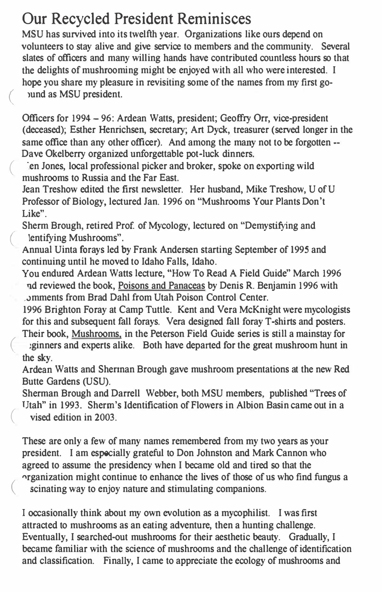### **Our Recycled President Reminisces**

MSU has survived into its twelfth year. Organizations like ours depend on volunteers to stay alive and give service to members and the community. Several slates of officers and many willing hands have contributed countless hours so that the delights of mushrooming might be enjoyed with all who were interested. I hope you share my pleasure in revisiting some of the names from my first go ound as MSU president.

Officers for 1994 - 96: Ardean Watts, president; Geoffry Orr, vice-president (deceased); Esther Henrichsen, secretary; Art Dyck, treasurer (served longer in the same office than any other officer). And among the many not to be forgotten --Dave Okelberry organized unforgettable pot-luck dinners.

en Jones, local professional picker and broker, spoke on exporting wild mushrooms to Russia and the Far East.

Jean Treshow edited the first newsletter. Her husband, Mike Treshow, U of U Professor of Biology, lectured Jan. 1996 on "Mushrooms Your Plants Don't Like".

Sherm Brough, retired Prof. of Mycology, lectured on "Demystifying and lentifying Mushrooms".

Annual Uinta forays led by Frank Andersen starting September of 1995 and continuing until he moved to Idaho Falls, Idaho.

You endured Ardean Watts lecture, "How To Read A Field Guide" March 1996 qd reviewed the book, Poisons and Panaceas by Denis R. Benjamin 1996 with ,.>mments from Brad Dahl from Utah Poison Control Center.

1996 Brighton Foray at Camp Tuttle. Kent and Vera McKnight were mycologists for this and subsequent fall forays. Vera designed fall foray T-shirts and posters. Their book, Mushrooms, in the Peterson Field Guide series is still a mainstay for

( ;ginners and experts alike. Both have departed for the great mushroom hunt in the sky.

Ardean Watts and Shennan Brough gave mushroom presentations at the new Red Butte Gardens (USU).

Sherman Brough and Darrell Webber, both MSU members, published "Trees of TJtah" in 1993. Sherm's Identification of Flowers in Albion Basin came out in a vised edition in 2003.

These are only a few of many names remembered from my two years as your president. I am especially grateful to Don Johnston and Mark Cannon who agreed to assume the presidency when I became old and tired so that the ( "rganization might continue to enhance the lives of those of us who find fungus a scinating way to enjoy nature and stimulating companions.

I occasionally think about my own evolution as a mycophilist. I was first attracted to mushrooms as an eating adventure, then a hunting challenge. Eventually, I searched-out mushrooms for their aesthetic beauty. Gradually, I became familiar with the science of mushrooms and the challenge of identification and classification. Finally, I came to appreciate the ecology of mushrooms and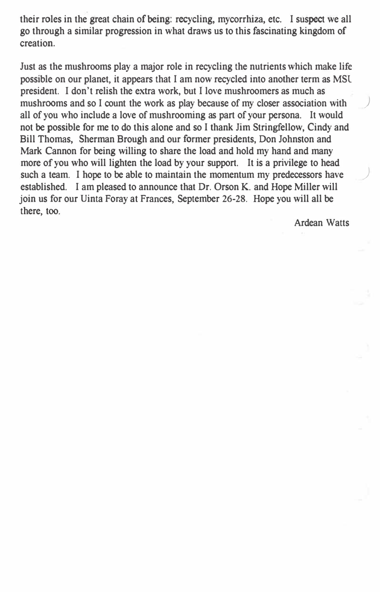their roles in the great chain of being: recycling, mycorrhiza, etc. I suspect we all go through a similar progression in what draws us to this fascinating kingdom of creation.

Just as the mushrooms play a major role in recycling the nutrients which make life possible on our planet, it appears that I am now recycled into another term as MSl president. I don't relish the extra work, but I love mushroomers as much as mushrooms and so I count the work as play because of my closer association with all of you who include a love of mushrooming as part of your persona. It would not be possible for me to do this alone and so I thank Jim Stringfellow, Cindy and Bill Thomas, Sherman Brough and our former presidents, Don Johnston and Mark Cannon for being willing to share the load and hold my hand and many more of you who will lighten the load by your support. It is a privilege to head such a team. I hope to be able to maintain the momentum my predecessors have established. I am pleased to announce that Dr. Orson K. and Hope Miller will join us for our Uinta Foray at Frances, September **26-28.** Hope you will all be there, too.

Ardean Watts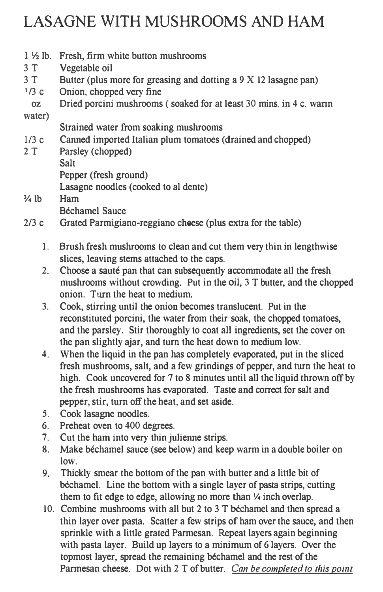## LASAGNE WITH MUSHROOMS AND HAM

|        | 1 1/2 lb. Fresh, firm white button mushrooms                       |
|--------|--------------------------------------------------------------------|
| 3T     | Vegetable oil                                                      |
| 3T     | Butter (plus more for greasing and dotting a 9 X 12 lasagne pan)   |
| 1/3c   | Onion, chopped very fine                                           |
| OZ.    | Dried porcini mushrooms (soaked for at least 30 mins. in 4 c. warm |
| water) |                                                                    |
|        | Strained water from soaking mushrooms                              |
| 1/3c   | Canned imported Italian plum tomatoes (drained and chopped)        |
| 2 T    | Parsley (chopped)                                                  |
|        | Salt                                                               |
|        | Pepper (fresh ground)                                              |
|        | Lasagne noodles (cooked to al dente)                               |
| 3⁄4 lb | Ham                                                                |
|        | Béchamel Sance                                                     |

- 2/3 c Grated Parmigiano-reggiano cheese (plus extra for the table)
	- 1. Brush fresh mushrooms to clean and cut them very thin in lengthwise slices, leaving stems attached to the caps.
	- 2. Choose a saute pan that can subsequently accommodate **all** the fresh mushrooms without crowding. Put in the oil, 3 T butter, and the chopped onion. Turn the heat to medium.
	- 3. Cook, stirring until the onion becomes translucent. Put in the reconstituted porcini, the water from their soak, the chopped tomatoes, and the parsley. Stir thoroughly to coat all ingredients, set the cover on the pan slightly ajar, and tum the heat down to medium low.
	- 4. When the liquid in the pan has completely evaporated, put in the sliced fresh mushrooms, salt, and a few grindings of pepper, and turn the heat to high. Cook uncovered for 7 to 8 minutes until all the liquid thrown off by the fresh mushrooms has evaporated. Taste and correct for salt and pepper, stir, turn off the heat, and set aside.
	- 5. Cook lasagne noodles.
	- 6. Preheat oven to 400 degrees.
	- 7. Cut the ham into very thin julienne strips.
	- 8. Make bechamel sauce (see below) and keep warm in a double boiler on low.
	- 9. Thickly smear the bottom of the pan with butter and a little bit of bechamel. Line the bottom with a single layer of pasta strips, cutting them to fit edge to edge, allowing no more than  $\frac{1}{4}$  inch overlap.
	- 10. Combine mushrooms with **all** but 2 to 3 T bechamel and then spread a thin layer over pasta. Scatter a few strips of ham over the sauce, and then sprinkle with a little grated Parmesan. Repeat layers again beginning with pasta layer. Build up layers to a minimum of 6 layers. Over the topmost layer, spread the remaining bechamel and the rest of the Parmesan cheese. Dot with 2 T of butter. *Can be completed to this point*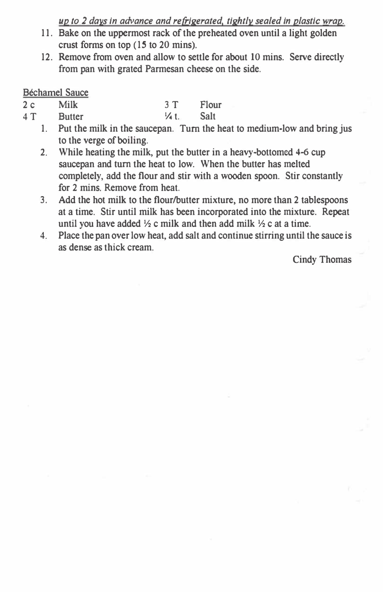*up to 2 days in advance and refrigerated. tightly sealed in plastic wrap.* 

- 11. Bake on the uppermost rack of the preheated oven until a light golden crust forms on top (15 to 20 mins).
- 12. Remove from oven and allow to settle for about 10 mins. Serve directly from pan with grated Parmesan cheese on the side.

#### Béchamel Sauce

- 2 c Milk 3 T Flour
- 4 T Butter 4 V<sub>4</sub> t. Salt
	- 1. Put the milk in the saucepan. Turn the heat to medium-low and bring jus to the verge of boiling.
	- **2.** While heating the milk, put the butter in a heavy-bottomed **4-6** cup saucepan and turn the heat to low. When the butter has melted completely, add the flour and stir with a wooden spoon. Stir constantly for 2 mins. Remove from heat.
	- 3. Add the hot milk to the flour/butter mixture, no more than 2 tablespoons at a time. Stir until milk has been incorporated into the mixture. Repeat until you have added ½ c milk and then add milk ½ c at a time.
	- 4. Place the pan over low heat, add salt and continue stirring until the sauce is as dense as thick cream.

Cindy Thomas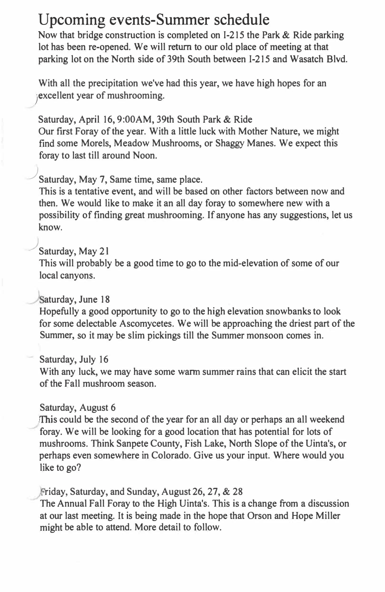### **Upcoming events-Summer schedule**

Now that bridge construction is completed on 1-215 the Park & Ride parking lot has been re-opened. We will return to our old place of meeting at that parking lot on the North side of 39th South between I-215 and Wasatch Blvd.

With all the precipitation we've had this year, we have high hopes for an excellent year of mushrooming.

Saturday, April 16, 9:00AM, 39th South Park & Ride Our first Foray of the year. With a little luck with Mother Nature, we might find some Morels, Meadow Mushrooms, or Shaggy Manes. We expect this foray to last till around Noon.

#### ) Saturday, May 7, Same time, same place.

This is a tentative event, and will be based on other factors between now and then. We would like to make it an all day foray to somewhere new with a possibility of finding great mushrooming. If anyone has any suggestions, let us know.

#### ) Saturday, May 21

This will probably be a good time to go to the mid-elevation of some of our local canyons.

#### Saturday, June 18

Hopefully a good opportunity to go to the high elevation snowbanks to look for some delectable Ascomycetes. We will be approaching the driest part of the Summer, so it may be slim pickings till the Summer monsoon comes in.

#### Saturday, July 16

With any luck, we may have some warm summer rains that can elicit the start of the Fall mushroom season.

#### Saturday, August 6

This could be the second of the year for an all day or perhaps an all weekend foray. We will be looking for a good location that has potential for lots of mushrooms. Think Sanpete County, Fish Lake, North Slope of the Uinta's, or perhaps even somewhere in Colorado. Give us your input. Where would you like to go?

#### riday, Saturday, and Sunday, August 26, 27, & 28

The Annual Fall Foray to the High Uinta's. This is a change from a discussion at our last meeting. It is being made in the hope that Orson and Hope Miller might be able to attend. More detail to follow.